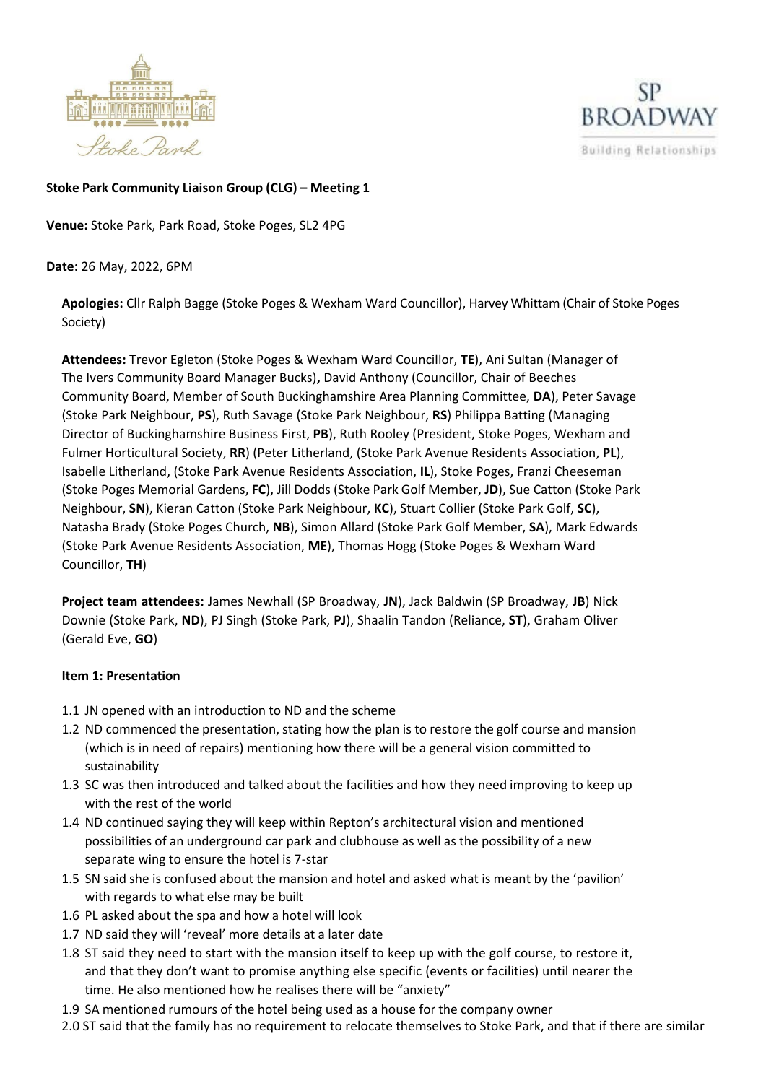



## **Stoke Park Community Liaison Group (CLG) – Meeting 1**

**Venue:** Stoke Park, Park Road, Stoke Poges, SL2 4PG

**Date:** 26 May, 2022, 6PM

**Apologies:** Cllr Ralph Bagge (Stoke Poges & Wexham Ward Councillor), Harvey Whittam (Chair of Stoke Poges Society)

**Attendees:** Trevor Egleton (Stoke Poges & Wexham Ward Councillor, **TE**), Ani Sultan (Manager of The Ivers Community Board Manager Bucks)**,** David Anthony (Councillor, Chair of Beeches Community Board, Member of South Buckinghamshire Area Planning Committee, **DA**), Peter Savage (Stoke Park Neighbour, **PS**), Ruth Savage (Stoke Park Neighbour, **RS**) Philippa Batting (Managing Director of Buckinghamshire Business First, **PB**), Ruth Rooley (President, Stoke Poges, Wexham and Fulmer Horticultural Society, **RR**) (Peter Litherland, (Stoke Park Avenue Residents Association, **PL**), Isabelle Litherland, (Stoke Park Avenue Residents Association, **IL**), Stoke Poges, Franzi Cheeseman (Stoke Poges Memorial Gardens, **FC**), Jill Dodds (Stoke Park Golf Member, **JD**), Sue Catton (Stoke Park Neighbour, **SN**), Kieran Catton (Stoke Park Neighbour, **KC**), Stuart Collier (Stoke Park Golf, **SC**), Natasha Brady (Stoke Poges Church, **NB**), Simon Allard (Stoke Park Golf Member, **SA**), Mark Edwards (Stoke Park Avenue Residents Association, **ME**), Thomas Hogg (Stoke Poges & Wexham Ward Councillor, **TH**)

**Project team attendees:** James Newhall (SP Broadway, **JN**), Jack Baldwin (SP Broadway, **JB**) Nick Downie (Stoke Park, **ND**), PJ Singh (Stoke Park, **PJ**), Shaalin Tandon (Reliance, **ST**), Graham Oliver (Gerald Eve, **GO**)

## **Item 1: Presentation**

- 1.1 JN opened with an introduction to ND and the scheme
- 1.2 ND commenced the presentation, stating how the plan is to restore the golf course and mansion (which is in need of repairs) mentioning how there will be a general vision committed to sustainability
- 1.3 SC was then introduced and talked about the facilities and how they need improving to keep up with the rest of the world
- 1.4 ND continued saying they will keep within Repton's architectural vision and mentioned possibilities of an underground car park and clubhouse as well as the possibility of a new separate wing to ensure the hotel is 7-star
- 1.5 SN said she is confused about the mansion and hotel and asked what is meant by the 'pavilion' with regards to what else may be built
- 1.6 PL asked about the spa and how a hotel will look
- 1.7 ND said they will 'reveal' more details at a later date
- 1.8 ST said they need to start with the mansion itself to keep up with the golf course, to restore it, and that they don't want to promise anything else specific (events or facilities) until nearer the time. He also mentioned how he realises there will be "anxiety"
- 1.9 SA mentioned rumours of the hotel being used as a house for the company owner
- 2.0 ST said that the family has no requirement to relocate themselves to Stoke Park, and that if there are similar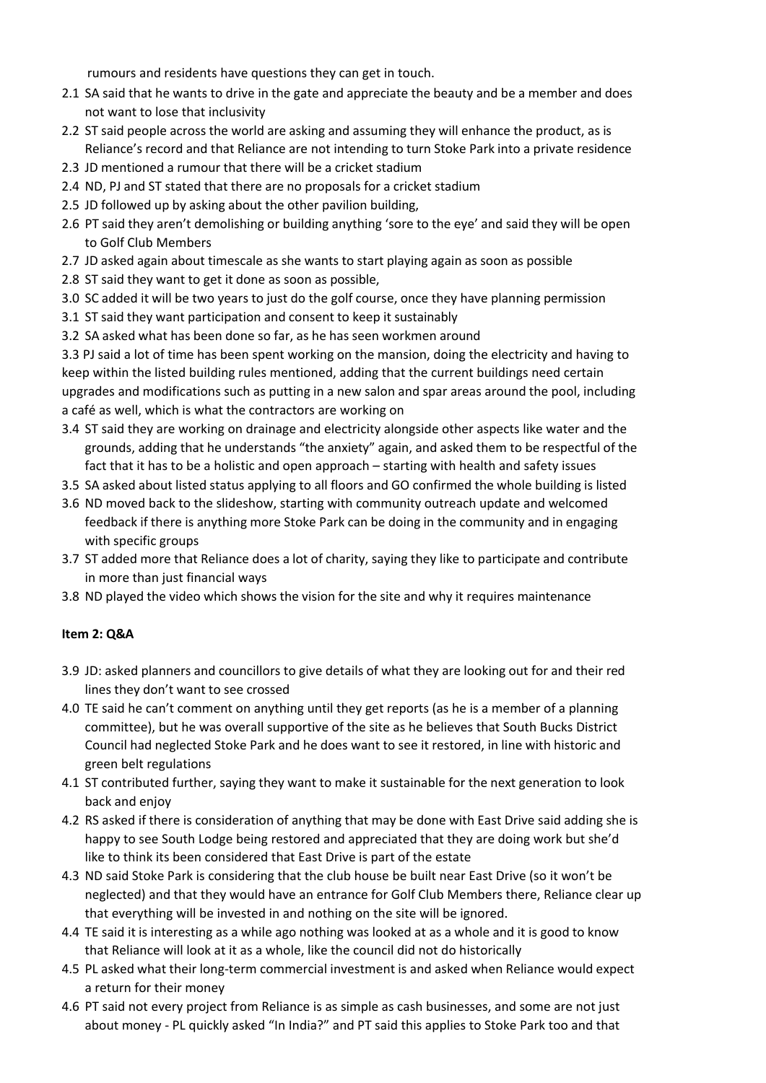rumours and residents have questions they can get in touch.

- 2.1 SA said that he wants to drive in the gate and appreciate the beauty and be a member and does not want to lose that inclusivity
- 2.2 ST said people across the world are asking and assuming they will enhance the product, as is Reliance's record and that Reliance are not intending to turn Stoke Park into a private residence
- 2.3 JD mentioned a rumour that there will be a cricket stadium
- 2.4 ND, PJ and ST stated that there are no proposals for a cricket stadium
- 2.5 JD followed up by asking about the other pavilion building,
- 2.6 PT said they aren't demolishing or building anything 'sore to the eye' and said they will be open to Golf Club Members
- 2.7 JD asked again about timescale as she wants to start playing again as soon as possible
- 2.8 ST said they want to get it done as soon as possible,
- 3.0 SC added it will be two years to just do the golf course, once they have planning permission
- 3.1 ST said they want participation and consent to keep it sustainably
- 3.2 SA asked what has been done so far, as he has seen workmen around

3.3 PJ said a lot of time has been spent working on the mansion, doing the electricity and having to keep within the listed building rules mentioned, adding that the current buildings need certain upgrades and modifications such as putting in a new salon and spar areas around the pool, including a café as well, which is what the contractors are working on

- 3.4 ST said they are working on drainage and electricity alongside other aspects like water and the grounds, adding that he understands "the anxiety" again, and asked them to be respectful of the fact that it has to be a holistic and open approach – starting with health and safety issues
- 3.5 SA asked about listed status applying to all floors and GO confirmed the whole building is listed
- 3.6 ND moved back to the slideshow, starting with community outreach update and welcomed feedback if there is anything more Stoke Park can be doing in the community and in engaging with specific groups
- 3.7 ST added more that Reliance does a lot of charity, saying they like to participate and contribute in more than just financial ways
- 3.8 ND played the video which shows the vision for the site and why it requires maintenance

## **Item 2: Q&A**

- 3.9 JD: asked planners and councillors to give details of what they are looking out for and their red lines they don't want to see crossed
- 4.0 TE said he can't comment on anything until they get reports (as he is a member of a planning committee), but he was overall supportive of the site as he believes that South Bucks District Council had neglected Stoke Park and he does want to see it restored, in line with historic and green belt regulations
- 4.1 ST contributed further, saying they want to make it sustainable for the next generation to look back and enjoy
- 4.2 RS asked if there is consideration of anything that may be done with East Drive said adding she is happy to see South Lodge being restored and appreciated that they are doing work but she'd like to think its been considered that East Drive is part of the estate
- 4.3 ND said Stoke Park is considering that the club house be built near East Drive (so it won't be neglected) and that they would have an entrance for Golf Club Members there, Reliance clear up that everything will be invested in and nothing on the site will be ignored.
- 4.4 TE said it is interesting as a while ago nothing was looked at as a whole and it is good to know that Reliance will look at it as a whole, like the council did not do historically
- 4.5 PL asked what their long-term commercial investment is and asked when Reliance would expect a return for their money
- 4.6 PT said not every project from Reliance is as simple as cash businesses, and some are not just about money - PL quickly asked "In India?" and PT said this applies to Stoke Park too and that